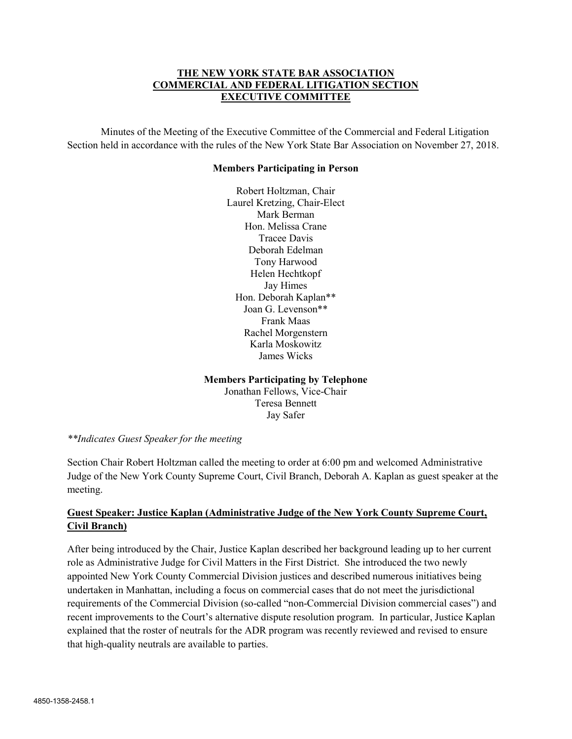## THE NEW YORK STATE BAR ASSOCIATION COMMERCIAL AND FEDERAL LITIGATION SECTION EXECUTIVE COMMITTEE

Minutes of the Meeting of the Executive Committee of the Commercial and Federal Litigation Section held in accordance with the rules of the New York State Bar Association on November 27, 2018.

#### Members Participating in Person

Robert Holtzman, Chair Laurel Kretzing, Chair-Elect Mark Berman Hon. Melissa Crane Tracee Davis Deborah Edelman Tony Harwood Helen Hechtkopf Jay Himes Hon. Deborah Kaplan\*\* Joan G. Levenson\*\* Frank Maas Rachel Morgenstern Karla Moskowitz James Wicks

### Members Participating by Telephone

Jonathan Fellows, Vice-Chair Teresa Bennett Jay Safer

### \*\*Indicates Guest Speaker for the meeting

Section Chair Robert Holtzman called the meeting to order at 6:00 pm and welcomed Administrative Judge of the New York County Supreme Court, Civil Branch, Deborah A. Kaplan as guest speaker at the meeting.

# Guest Speaker: Justice Kaplan (Administrative Judge of the New York County Supreme Court, Civil Branch)

After being introduced by the Chair, Justice Kaplan described her background leading up to her current role as Administrative Judge for Civil Matters in the First District. She introduced the two newly appointed New York County Commercial Division justices and described numerous initiatives being undertaken in Manhattan, including a focus on commercial cases that do not meet the jurisdictional requirements of the Commercial Division (so-called "non-Commercial Division commercial cases") and recent improvements to the Court's alternative dispute resolution program. In particular, Justice Kaplan explained that the roster of neutrals for the ADR program was recently reviewed and revised to ensure that high-quality neutrals are available to parties.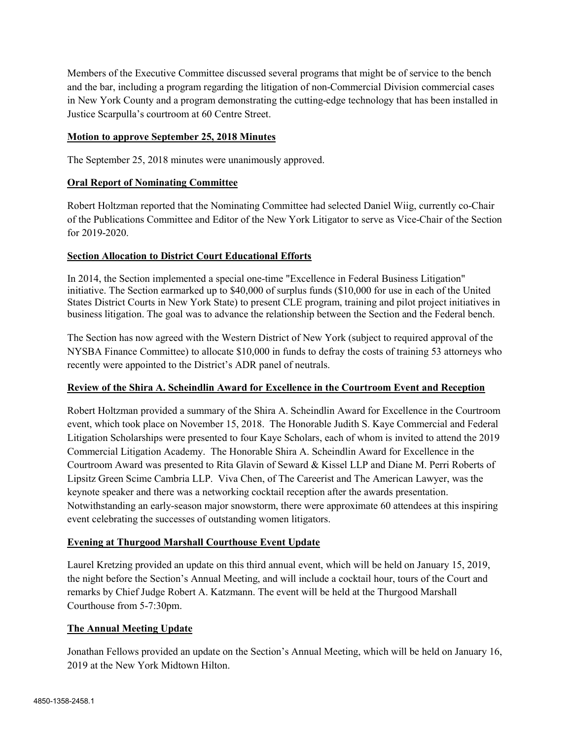Members of the Executive Committee discussed several programs that might be of service to the bench and the bar, including a program regarding the litigation of non-Commercial Division commercial cases in New York County and a program demonstrating the cutting-edge technology that has been installed in Justice Scarpulla's courtroom at 60 Centre Street.

### Motion to approve September 25, 2018 Minutes

The September 25, 2018 minutes were unanimously approved.

### Oral Report of Nominating Committee

Robert Holtzman reported that the Nominating Committee had selected Daniel Wiig, currently co-Chair of the Publications Committee and Editor of the New York Litigator to serve as Vice-Chair of the Section for 2019-2020.

### Section Allocation to District Court Educational Efforts

In 2014, the Section implemented a special one-time "Excellence in Federal Business Litigation" initiative. The Section earmarked up to \$40,000 of surplus funds (\$10,000 for use in each of the United States District Courts in New York State) to present CLE program, training and pilot project initiatives in business litigation. The goal was to advance the relationship between the Section and the Federal bench.

The Section has now agreed with the Western District of New York (subject to required approval of the NYSBA Finance Committee) to allocate \$10,000 in funds to defray the costs of training 53 attorneys who recently were appointed to the District's ADR panel of neutrals.

# Review of the Shira A. Scheindlin Award for Excellence in the Courtroom Event and Reception

Robert Holtzman provided a summary of the Shira A. Scheindlin Award for Excellence in the Courtroom event, which took place on November 15, 2018. The Honorable Judith S. Kaye Commercial and Federal Litigation Scholarships were presented to four Kaye Scholars, each of whom is invited to attend the 2019 Commercial Litigation Academy. The Honorable Shira A. Scheindlin Award for Excellence in the Courtroom Award was presented to Rita Glavin of Seward & Kissel LLP and Diane M. Perri Roberts of Lipsitz Green Scime Cambria LLP. Viva Chen, of The Careerist and The American Lawyer, was the keynote speaker and there was a networking cocktail reception after the awards presentation. Notwithstanding an early-season major snowstorm, there were approximate 60 attendees at this inspiring event celebrating the successes of outstanding women litigators.

# Evening at Thurgood Marshall Courthouse Event Update

Laurel Kretzing provided an update on this third annual event, which will be held on January 15, 2019, the night before the Section's Annual Meeting, and will include a cocktail hour, tours of the Court and remarks by Chief Judge Robert A. Katzmann. The event will be held at the Thurgood Marshall Courthouse from 5-7:30pm.

# The Annual Meeting Update

Jonathan Fellows provided an update on the Section's Annual Meeting, which will be held on January 16, 2019 at the New York Midtown Hilton.